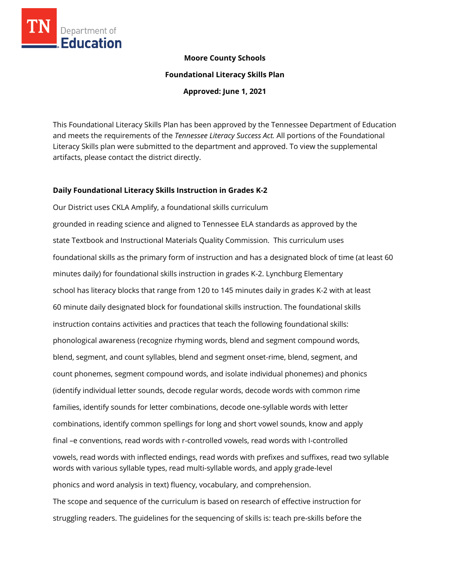

#### **Moore County Schools**

**Foundational Literacy Skills Plan**

**Approved: June 1, 2021**

This Foundational Literacy Skills Plan has been approved by the Tennessee Department of Education and meets the requirements of the *Tennessee Literacy Success Act.* All portions of the Foundational Literacy Skills plan were submitted to the department and approved. To view the supplemental artifacts, please contact the district directly.

#### **Daily Foundational Literacy Skills Instruction in Grades K-2**

Our District uses CKLA Amplify, a foundational skills curriculum grounded in reading science and aligned to Tennessee ELA standards as approved by the state Textbook and Instructional Materials Quality Commission. This curriculum uses foundational skills as the primary form of instruction and has a designated block of time (at least 60 minutes daily) for foundational skills instruction in grades K-2. Lynchburg Elementary school has literacy blocks that range from 120 to 145 minutes daily in grades K-2 with at least 60 minute daily designated block for foundational skills instruction. The foundational skills instruction contains activities and practices that teach the following foundational skills: phonological awareness (recognize rhyming words, blend and segment compound words, blend, segment, and count syllables, blend and segment onset-rime, blend, segment, and count phonemes, segment compound words, and isolate individual phonemes) and phonics (identify individual letter sounds, decode regular words, decode words with common rime families, identify sounds for letter combinations, decode one-syllable words with letter combinations, identify common spellings for long and short vowel sounds, know and apply final –e conventions, read words with r-controlled vowels, read words with I-controlled vowels, read words with inflected endings, read words with prefixes and suffixes, read two syllable words with various syllable types, read multi-syllable words, and apply grade-level phonics and word analysis in text) fluency, vocabulary, and comprehension. The scope and sequence of the curriculum is based on research of effective instruction for struggling readers. The guidelines for the sequencing of skills is: teach pre-skills before the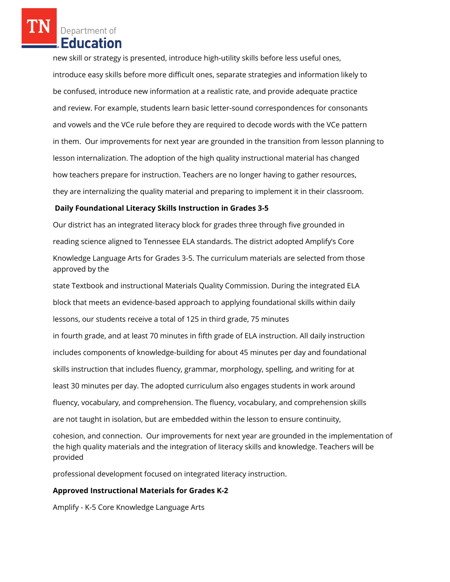Department of **Education** 

new skill or strategy is presented, introduce high-utility skills before less useful ones, introduce easy skills before more difficult ones, separate strategies and information likely to be confused, introduce new information at a realistic rate, and provide adequate practice and review. For example, students learn basic letter-sound correspondences for consonants and vowels and the VCe rule before they are required to decode words with the VCe pattern in them. Our improvements for next year are grounded in the transition from lesson planning to lesson internalization. The adoption of the high quality instructional material has changed how teachers prepare for instruction. Teachers are no longer having to gather resources, they are internalizing the quality material and preparing to implement it in their classroom.

#### **Daily Foundational Literacy Skills Instruction in Grades 3-5**

Our district has an integrated literacy block for grades three through five grounded in reading science aligned to Tennessee ELA standards. The district adopted Amplify's Core Knowledge Language Arts for Grades 3-5. The curriculum materials are selected from those approved by the

state Textbook and instructional Materials Quality Commission. During the integrated ELA block that meets an evidence-based approach to applying foundational skills within daily lessons, our students receive a total of 125 in third grade, 75 minutes

in fourth grade, and at least 70 minutes in fifth grade of ELA instruction. All daily instruction includes components of knowledge-building for about 45 minutes per day and foundational skills instruction that includes fluency, grammar, morphology, spelling, and writing for at least 30 minutes per day. The adopted curriculum also engages students in work around fluency, vocabulary, and comprehension. The fluency, vocabulary, and comprehension skills are not taught in isolation, but are embedded within the lesson to ensure continuity,

cohesion, and connection. Our improvements for next year are grounded in the implementation of the high quality materials and the integration of literacy skills and knowledge. Teachers will be provided

professional development focused on integrated literacy instruction.

### **Approved Instructional Materials for Grades K-2**

Amplify - K-5 Core Knowledge Language Arts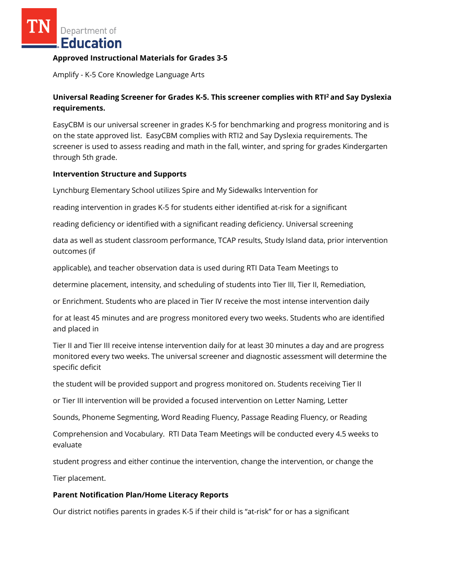Department of **Education** 

#### **Approved Instructional Materials for Grades 3-5**

Amplify - K-5 Core Knowledge Language Arts

# **Universal Reading Screener for Grades K-5. This screener complies with RTI<sup>2</sup>and Say Dyslexia requirements.**

EasyCBM is our universal screener in grades K-5 for benchmarking and progress monitoring and is on the state approved list. EasyCBM complies with RTI2 and Say Dyslexia requirements. The screener is used to assess reading and math in the fall, winter, and spring for grades Kindergarten through 5th grade.

#### **Intervention Structure and Supports**

Lynchburg Elementary School utilizes Spire and My Sidewalks Intervention for

reading intervention in grades K-5 for students either identified at-risk for a significant

reading deficiency or identified with a significant reading deficiency. Universal screening

data as well as student classroom performance, TCAP results, Study Island data, prior intervention outcomes (if

applicable), and teacher observation data is used during RTI Data Team Meetings to

determine placement, intensity, and scheduling of students into Tier III, Tier II, Remediation,

or Enrichment. Students who are placed in Tier IV receive the most intense intervention daily

for at least 45 minutes and are progress monitored every two weeks. Students who are identified and placed in

Tier II and Tier III receive intense intervention daily for at least 30 minutes a day and are progress monitored every two weeks. The universal screener and diagnostic assessment will determine the specific deficit

the student will be provided support and progress monitored on. Students receiving Tier II

or Tier III intervention will be provided a focused intervention on Letter Naming, Letter

Sounds, Phoneme Segmenting, Word Reading Fluency, Passage Reading Fluency, or Reading

Comprehension and Vocabulary. RTI Data Team Meetings will be conducted every 4.5 weeks to evaluate

student progress and either continue the intervention, change the intervention, or change the

Tier placement.

#### **Parent Notification Plan/Home Literacy Reports**

Our district notifies parents in grades K-5 if their child is "at-risk" for or has a significant